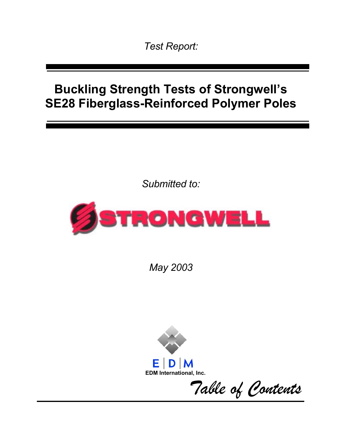*Test Report:* 

# **Buckling Strength Tests of Strongwell's SE28 Fiberglass-Reinforced Polymer Poles**

*Submitted to:* 



*May 2003* 



*Table of Contents*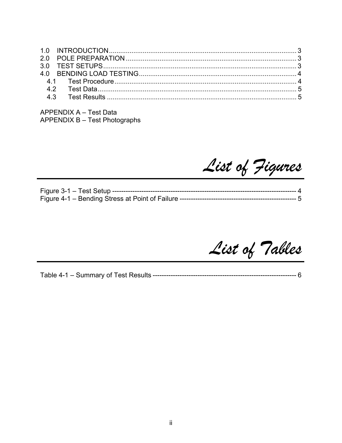**APPENDIX A - Test Data APPENDIX B - Test Photographs** 

List of Figures

List of Tables

-------------- 6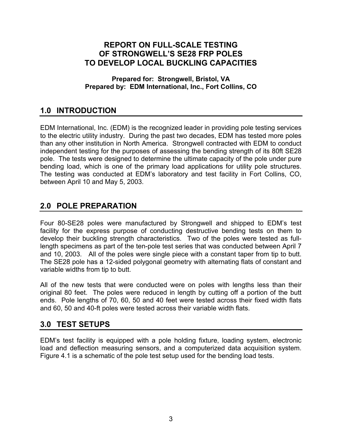## **REPORT ON FULL-SCALE TESTING OF STRONGWELL'S SE28 FRP POLES TO DEVELOP LOCAL BUCKLING CAPACITIES**

**Prepared for: Strongwell, Bristol, VA Prepared by: EDM International, Inc., Fort Collins, CO** 

# **1.0 INTRODUCTION**

EDM International, Inc. (EDM) is the recognized leader in providing pole testing services to the electric utility industry. During the past two decades, EDM has tested more poles than any other institution in North America. Strongwell contracted with EDM to conduct independent testing for the purposes of assessing the bending strength of its 80ft SE28 pole. The tests were designed to determine the ultimate capacity of the pole under pure bending load, which is one of the primary load applications for utility pole structures. The testing was conducted at EDM's laboratory and test facility in Fort Collins, CO, between April 10 and May 5, 2003.

## **2.0 POLE PREPARATION**

Four 80-SE28 poles were manufactured by Strongwell and shipped to EDM's test facility for the express purpose of conducting destructive bending tests on them to develop their buckling strength characteristics. Two of the poles were tested as fulllength specimens as part of the ten-pole test series that was conducted between April 7 and 10, 2003. All of the poles were single piece with a constant taper from tip to butt. The SE28 pole has a 12-sided polygonal geometry with alternating flats of constant and variable widths from tip to butt.

All of the new tests that were conducted were on poles with lengths less than their original 80 feet. The poles were reduced in length by cutting off a portion of the butt ends. Pole lengths of 70, 60, 50 and 40 feet were tested across their fixed width flats and 60, 50 and 40-ft poles were tested across their variable width flats.

## **3.0 TEST SETUPS**

EDM's test facility is equipped with a pole holding fixture, loading system, electronic load and deflection measuring sensors, and a computerized data acquisition system. Figure 4.1 is a schematic of the pole test setup used for the bending load tests.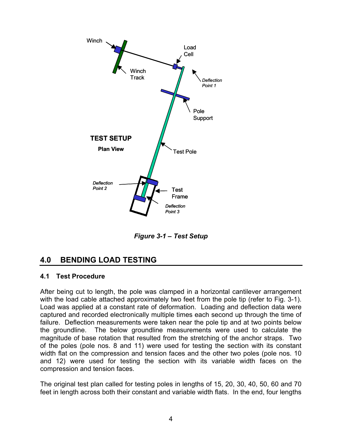

*Figure 3-1 – Test Setup* 

# **4.0 BENDING LOAD TESTING**

#### **4.1 Test Procedure**

After being cut to length, the pole was clamped in a horizontal cantilever arrangement with the load cable attached approximately two feet from the pole tip (refer to Fig. 3-1). Load was applied at a constant rate of deformation. Loading and deflection data were captured and recorded electronically multiple times each second up through the time of failure. Deflection measurements were taken near the pole tip and at two points below the groundline. The below groundline measurements were used to calculate the magnitude of base rotation that resulted from the stretching of the anchor straps. Two of the poles (pole nos. 8 and 11) were used for testing the section with its constant width flat on the compression and tension faces and the other two poles (pole nos. 10 and 12) were used for testing the section with its variable width faces on the compression and tension faces.

The original test plan called for testing poles in lengths of 15, 20, 30, 40, 50, 60 and 70 feet in length across both their constant and variable width flats. In the end, four lengths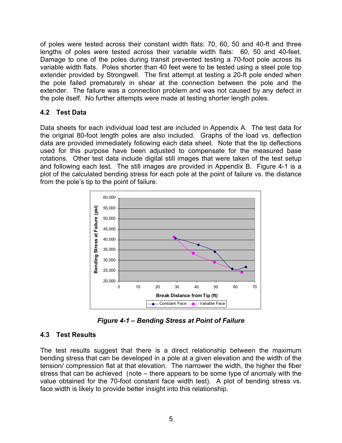of poles were tested across their constant width flats: 70, 60, 50 and 40-ft and three lengths of poles were tested across their variable width flats: 60, 50 and 40-feet. Damage to one of the poles during transit prevented testing a 70-foot pole across its variable width flats. Poles shorter than 40 feet were to be tested using a steel pole top extender provided by Strongwell. The first attempt at testing a 20-ft pole ended when the pole failed prematurely in shear at the connection between the pole and the extender. The failure was a connection problem and was not caused by any defect in the pole itself. No further attempts were made at testing shorter length poles.

#### **4.2 Test Data**

Data sheets for each individual load test are included in Appendix A. The test data for the original 80-foot length poles are also included. Graphs of the load vs. deflection data are provided immediately following each data sheet. Note that the tip deflections used for this purpose have been adjusted to compensate for the measured base rotations. Other test data include digital still images that were taken of the test setup and following each test. The still images are provided in Appendix B. Figure 4-1 is a plot of the calculated bending stress for each pole at the point of failure vs. the distance from the pole's tip to the point of failure.



*Figure 4-1 – Bending Stress at Point of Failure* 

### **4.3 Test Results**

The test results suggest that there is a direct relationship between the maximum bending stress that can be developed in a pole at a given elevation and the width of the tension/ compression flat at that elevation. The narrower the width, the higher the fiber stress that can be achieved (note – there appears to be some type of anomaly with the value obtained for the 70-foot constant face width test). A plot of bending stress vs. face width is likely to provide better insight into this relationship.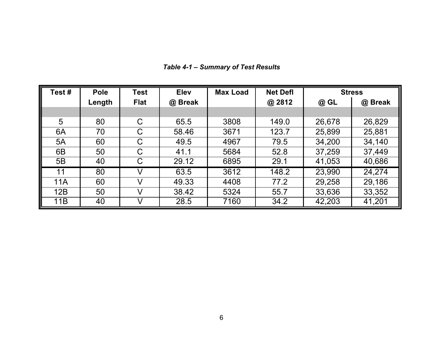| Test#      | <b>Pole</b> | <b>Test</b>  | <b>Elev</b> | <b>Max Load</b> | <b>Net Defl</b> | <b>Stress</b> |         |
|------------|-------------|--------------|-------------|-----------------|-----------------|---------------|---------|
|            | Length      | <b>Flat</b>  | @ Break     |                 | @ 2812          | @ GL          | @ Break |
|            |             |              |             |                 |                 |               |         |
| 5          | 80          | $\mathsf C$  | 65.5        | 3808            | 149.0           | 26,678        | 26,829  |
| 6A         | 70          | $\mathsf{C}$ | 58.46       | 3671            | 123.7           | 25,899        | 25,881  |
| 5A         | 60          | $\mathsf C$  | 49.5        | 4967            | 79.5            | 34,200        | 34,140  |
| 6B         | 50          | $\mathsf C$  | 41.1        | 5684            | 52.8            | 37,259        | 37,449  |
| 5B         | 40          | C            | 29.12       | 6895            | 29.1            | 41,053        | 40,686  |
| 11         | 80          | V            | 63.5        | 3612            | 148.2           | 23,990        | 24,274  |
| <b>11A</b> | 60          | V            | 49.33       | 4408            | 77.2            | 29,258        | 29,186  |
| 12B        | 50          | V            | 38.42       | 5324            | 55.7            | 33,636        | 33,352  |
| 11B        | 40          |              | 28.5        | 7160            | 34.2            | 42,203        | 41,201  |

*Table 4-1 – Summary of Test Results*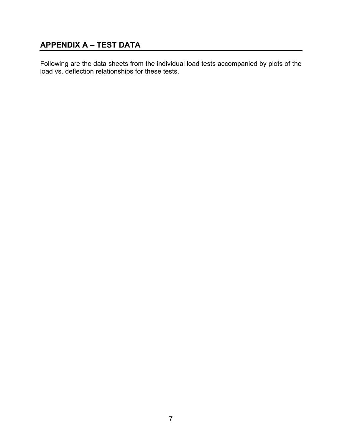# **APPENDIX A – TEST DATA**

Following are the data sheets from the individual load tests accompanied by plots of the load vs. deflection relationships for these tests.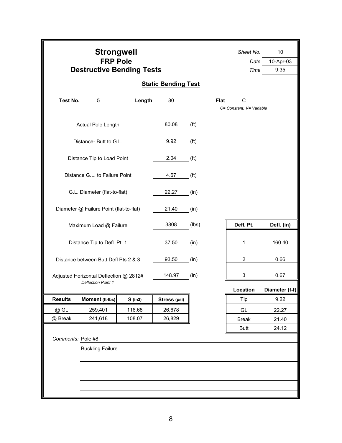|                              | <b>Strongwell</b><br><b>FRP Pole</b><br><b>Destructive Bending Tests</b> |           | Sheet No.<br>Date<br>Time  | 10<br>10-Apr-03<br>9:35 |                               |                |  |
|------------------------------|--------------------------------------------------------------------------|-----------|----------------------------|-------------------------|-------------------------------|----------------|--|
|                              |                                                                          |           | <b>Static Bending Test</b> |                         |                               |                |  |
| Test No.                     | 5                                                                        | Length    | 80                         | Flat                    | C<br>C= Constant, V= Variable |                |  |
|                              | Actual Pole Length                                                       |           | 80.08                      | (f <sup>t</sup> )       |                               |                |  |
|                              | Distance- Butt to G.L.                                                   |           | 9.92                       | (f <sup>t</sup> )       |                               |                |  |
|                              | Distance Tip to Load Point                                               |           | 2.04                       | (f <sup>t</sup> )       |                               |                |  |
|                              | Distance G.L. to Failure Point                                           |           | 4.67                       | (f <sup>t</sup> )       |                               |                |  |
|                              | G.L. Diameter (flat-to-flat)                                             |           | 22.27                      | (in)                    |                               |                |  |
|                              | Diameter @ Failure Point (flat-to-flat)                                  |           | 21.40                      | (in)                    |                               |                |  |
|                              | Maximum Load @ Failure                                                   |           | 3808                       | (lbs)                   | Defl. Pt.                     | Defl. (in)     |  |
|                              | Distance Tip to Defl. Pt. 1                                              |           | 37.50                      | (in)                    | 1                             | 160.40         |  |
|                              | Distance between Butt Defl Pts 2 & 3                                     |           | 93.50                      | (in)                    | $\overline{2}$                | 0.66           |  |
|                              | Adjusted Horizontal Deflection @ 2812#<br><b>Deflection Point 1</b>      |           | 148.97                     | (in)                    | 3                             | 0.67           |  |
|                              |                                                                          |           |                            |                         | Location                      | Diameter (f-f) |  |
| <b>Results</b>               | Moment (ft-Ibs)                                                          | $S$ (in3) | Stress (psi)               |                         | Tip                           | 9.22           |  |
| @ GL                         | 259,401                                                                  | 116.68    | 26,678                     |                         | GL                            | 22.27          |  |
| 241,618<br>108.07<br>@ Break |                                                                          |           | 26,829                     |                         | <b>Break</b>                  | 21.40          |  |
|                              | 24.12<br><b>Butt</b><br>Comments: Pole #8<br><b>Buckling Failure</b>     |           |                            |                         |                               |                |  |
|                              |                                                                          |           |                            |                         |                               |                |  |
|                              |                                                                          |           |                            |                         |                               |                |  |
|                              |                                                                          |           |                            |                         |                               |                |  |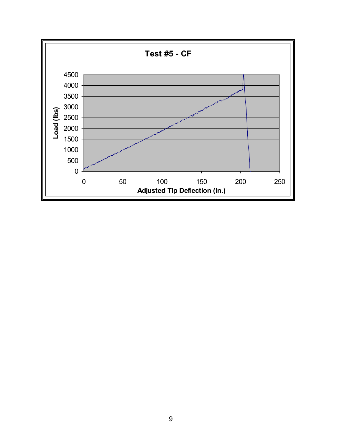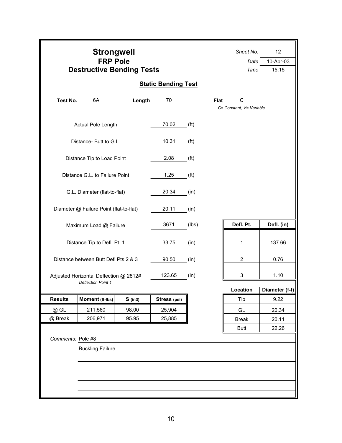|                   | <b>Strongwell</b><br><b>FRP Pole</b><br><b>Destructive Bending Tests</b> |           |                            |                   | Sheet No.<br>Date<br>Time     | 12<br>10-Apr-03<br>15:15 |
|-------------------|--------------------------------------------------------------------------|-----------|----------------------------|-------------------|-------------------------------|--------------------------|
|                   |                                                                          |           | <b>Static Bending Test</b> |                   |                               |                          |
| Test No.          | 6A                                                                       | Length    | 70                         | <b>Flat</b>       | C<br>C= Constant, V= Variable |                          |
|                   | Actual Pole Length                                                       |           | 70.02                      | (f <sup>t</sup> ) |                               |                          |
|                   | Distance- Butt to G.L.                                                   |           | 10.31                      | (f <sup>t</sup> ) |                               |                          |
|                   | Distance Tip to Load Point                                               |           | 2.08                       | (f <sup>t</sup> ) |                               |                          |
|                   | Distance G.L. to Failure Point                                           |           | 1.25                       | (f <sup>t</sup> ) |                               |                          |
|                   | G.L. Diameter (flat-to-flat)                                             |           | 20.34                      | (in)              |                               |                          |
|                   | Diameter @ Failure Point (flat-to-flat)                                  |           | 20.11                      | (in)              |                               |                          |
|                   | Maximum Load @ Failure                                                   |           | 3671                       | (lbs)             | Defl. Pt.                     | Defl. (in)               |
|                   | Distance Tip to Defl. Pt. 1                                              |           | 33.75                      | (in)              | 1                             | 137.66                   |
|                   | Distance between Butt Defl Pts 2 & 3                                     |           | 90.50                      | (in)              | $\overline{c}$                | 0.76                     |
|                   | Adjusted Horizontal Deflection @ 2812#<br><b>Deflection Point 1</b>      |           | 123.65                     | (in)              | 3                             | 1.10                     |
|                   |                                                                          |           |                            |                   | Location                      | Diameter (f-f)           |
| <b>Results</b>    | Moment (ft-Ibs)                                                          | $S$ (in3) | Stress (psi)               |                   | Tip                           | 9.22                     |
| @ GL              | 211,560                                                                  | 98.00     | 25,904                     |                   | GL                            | 20.34                    |
| @ Break           | 206,971                                                                  | 95.95     | 25,885                     |                   | <b>Break</b>                  | 20.11                    |
|                   |                                                                          |           |                            |                   | <b>Butt</b>                   | 22.26                    |
| Comments: Pole #8 |                                                                          |           |                            |                   |                               |                          |
|                   | <b>Buckling Failure</b>                                                  |           |                            |                   |                               |                          |
|                   |                                                                          |           |                            |                   |                               |                          |
|                   |                                                                          |           |                            |                   |                               |                          |
|                   |                                                                          |           |                            |                   |                               |                          |
|                   |                                                                          |           |                            |                   |                               |                          |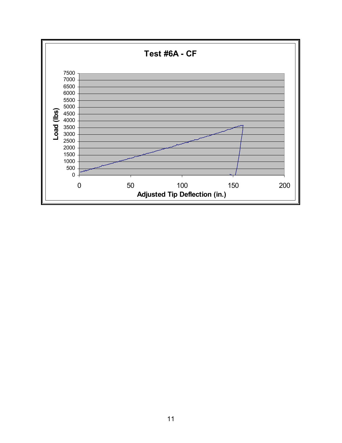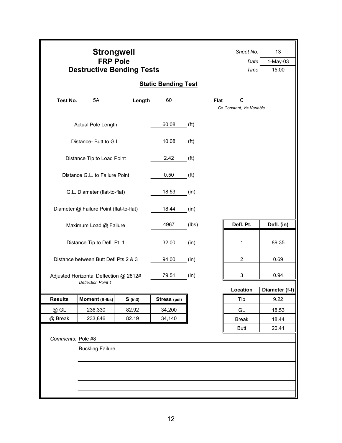| <b>Static Bending Test</b><br>Test No.<br>5A<br>Length<br>60<br>Flat<br>C<br>C= Constant, V= Variable<br>60.08<br>Actual Pole Length<br>(f <sup>t</sup> )<br>Distance- Butt to G.L.<br>10.08<br>(f <sup>t</sup> )<br>Distance Tip to Load Point<br>2.42<br>(f <sup>t</sup> )<br>Distance G.L. to Failure Point<br>0.50<br>(f <sup>t</sup> )<br>G.L. Diameter (flat-to-flat)<br>18.53<br>(in)<br>Diameter @ Failure Point (flat-to-flat)<br>18.44<br>(in)<br>Defl. Pt.<br>Defl. (in)<br>4967<br>(lbs)<br>Maximum Load @ Failure<br>89.35<br>Distance Tip to Defl. Pt. 1<br>32.00<br>(in)<br>1<br>$\overline{c}$<br>Distance between Butt Defl Pts 2 & 3<br>94.00<br>0.69<br>(in)<br>3<br>79.51<br>0.94<br>(in)<br>Adjusted Horizontal Deflection @ 2812#<br><b>Deflection Point 1</b><br>Diameter (f-f)<br>Location<br><b>Results</b><br>Moment (ft-lbs)<br>Stress (psi)<br>Tip<br>9.22<br>$S$ (in3)<br>34,200<br>@ GL<br>236,330<br>82.92<br>GL<br>18.53<br>233,846<br>82.19<br>34,140<br>@ Break<br><b>Break</b><br>18.44<br>20.41<br><b>Butt</b><br>Comments: Pole #8<br><b>Buckling Failure</b> |  | <b>Strongwell</b><br><b>FRP Pole</b><br><b>Destructive Bending Tests</b> |  |  |  | Sheet No.<br>Date<br>Time | 13<br>$1-May-03$<br>15:00 |  |
|----------------------------------------------------------------------------------------------------------------------------------------------------------------------------------------------------------------------------------------------------------------------------------------------------------------------------------------------------------------------------------------------------------------------------------------------------------------------------------------------------------------------------------------------------------------------------------------------------------------------------------------------------------------------------------------------------------------------------------------------------------------------------------------------------------------------------------------------------------------------------------------------------------------------------------------------------------------------------------------------------------------------------------------------------------------------------------------------------|--|--------------------------------------------------------------------------|--|--|--|---------------------------|---------------------------|--|
|                                                                                                                                                                                                                                                                                                                                                                                                                                                                                                                                                                                                                                                                                                                                                                                                                                                                                                                                                                                                                                                                                                    |  |                                                                          |  |  |  |                           |                           |  |
|                                                                                                                                                                                                                                                                                                                                                                                                                                                                                                                                                                                                                                                                                                                                                                                                                                                                                                                                                                                                                                                                                                    |  |                                                                          |  |  |  |                           |                           |  |
|                                                                                                                                                                                                                                                                                                                                                                                                                                                                                                                                                                                                                                                                                                                                                                                                                                                                                                                                                                                                                                                                                                    |  |                                                                          |  |  |  |                           |                           |  |
|                                                                                                                                                                                                                                                                                                                                                                                                                                                                                                                                                                                                                                                                                                                                                                                                                                                                                                                                                                                                                                                                                                    |  |                                                                          |  |  |  |                           |                           |  |
|                                                                                                                                                                                                                                                                                                                                                                                                                                                                                                                                                                                                                                                                                                                                                                                                                                                                                                                                                                                                                                                                                                    |  |                                                                          |  |  |  |                           |                           |  |
|                                                                                                                                                                                                                                                                                                                                                                                                                                                                                                                                                                                                                                                                                                                                                                                                                                                                                                                                                                                                                                                                                                    |  |                                                                          |  |  |  |                           |                           |  |
|                                                                                                                                                                                                                                                                                                                                                                                                                                                                                                                                                                                                                                                                                                                                                                                                                                                                                                                                                                                                                                                                                                    |  |                                                                          |  |  |  |                           |                           |  |
|                                                                                                                                                                                                                                                                                                                                                                                                                                                                                                                                                                                                                                                                                                                                                                                                                                                                                                                                                                                                                                                                                                    |  |                                                                          |  |  |  |                           |                           |  |
|                                                                                                                                                                                                                                                                                                                                                                                                                                                                                                                                                                                                                                                                                                                                                                                                                                                                                                                                                                                                                                                                                                    |  |                                                                          |  |  |  |                           |                           |  |
|                                                                                                                                                                                                                                                                                                                                                                                                                                                                                                                                                                                                                                                                                                                                                                                                                                                                                                                                                                                                                                                                                                    |  |                                                                          |  |  |  |                           |                           |  |
|                                                                                                                                                                                                                                                                                                                                                                                                                                                                                                                                                                                                                                                                                                                                                                                                                                                                                                                                                                                                                                                                                                    |  |                                                                          |  |  |  |                           |                           |  |
|                                                                                                                                                                                                                                                                                                                                                                                                                                                                                                                                                                                                                                                                                                                                                                                                                                                                                                                                                                                                                                                                                                    |  |                                                                          |  |  |  |                           |                           |  |
|                                                                                                                                                                                                                                                                                                                                                                                                                                                                                                                                                                                                                                                                                                                                                                                                                                                                                                                                                                                                                                                                                                    |  |                                                                          |  |  |  |                           |                           |  |
|                                                                                                                                                                                                                                                                                                                                                                                                                                                                                                                                                                                                                                                                                                                                                                                                                                                                                                                                                                                                                                                                                                    |  |                                                                          |  |  |  |                           |                           |  |
|                                                                                                                                                                                                                                                                                                                                                                                                                                                                                                                                                                                                                                                                                                                                                                                                                                                                                                                                                                                                                                                                                                    |  |                                                                          |  |  |  |                           |                           |  |
|                                                                                                                                                                                                                                                                                                                                                                                                                                                                                                                                                                                                                                                                                                                                                                                                                                                                                                                                                                                                                                                                                                    |  |                                                                          |  |  |  |                           |                           |  |
|                                                                                                                                                                                                                                                                                                                                                                                                                                                                                                                                                                                                                                                                                                                                                                                                                                                                                                                                                                                                                                                                                                    |  |                                                                          |  |  |  |                           |                           |  |
|                                                                                                                                                                                                                                                                                                                                                                                                                                                                                                                                                                                                                                                                                                                                                                                                                                                                                                                                                                                                                                                                                                    |  |                                                                          |  |  |  |                           |                           |  |
|                                                                                                                                                                                                                                                                                                                                                                                                                                                                                                                                                                                                                                                                                                                                                                                                                                                                                                                                                                                                                                                                                                    |  |                                                                          |  |  |  |                           |                           |  |
|                                                                                                                                                                                                                                                                                                                                                                                                                                                                                                                                                                                                                                                                                                                                                                                                                                                                                                                                                                                                                                                                                                    |  |                                                                          |  |  |  |                           |                           |  |
|                                                                                                                                                                                                                                                                                                                                                                                                                                                                                                                                                                                                                                                                                                                                                                                                                                                                                                                                                                                                                                                                                                    |  |                                                                          |  |  |  |                           |                           |  |
|                                                                                                                                                                                                                                                                                                                                                                                                                                                                                                                                                                                                                                                                                                                                                                                                                                                                                                                                                                                                                                                                                                    |  |                                                                          |  |  |  |                           |                           |  |
|                                                                                                                                                                                                                                                                                                                                                                                                                                                                                                                                                                                                                                                                                                                                                                                                                                                                                                                                                                                                                                                                                                    |  |                                                                          |  |  |  |                           |                           |  |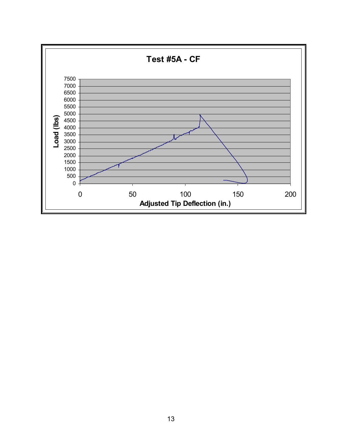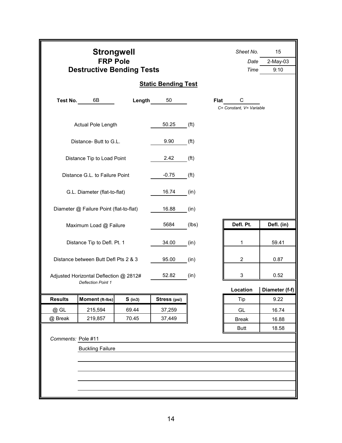|                                                              | <b>Strongwell</b><br><b>FRP Pole</b><br><b>Destructive Bending Tests</b> |           |                            |                   | Sheet No.<br>Date<br>Time     | 15<br>2-May-03<br>9:10 |
|--------------------------------------------------------------|--------------------------------------------------------------------------|-----------|----------------------------|-------------------|-------------------------------|------------------------|
|                                                              |                                                                          |           | <b>Static Bending Test</b> |                   |                               |                        |
| Test No.                                                     | 6B                                                                       | Length    | 50                         | <b>Flat</b>       | C<br>C= Constant, V= Variable |                        |
|                                                              | Actual Pole Length                                                       |           | 50.25                      | ( <b>ft</b> )     |                               |                        |
|                                                              | Distance- Butt to G.L.                                                   |           | 9.90                       | ( <b>ft</b> )     |                               |                        |
|                                                              | Distance Tip to Load Point                                               |           | 2.42                       | ( <b>ft</b> )     |                               |                        |
|                                                              | Distance G.L. to Failure Point                                           |           | $-0.75$                    | (f <sup>t</sup> ) |                               |                        |
|                                                              | G.L. Diameter (flat-to-flat)                                             |           | 16.74                      | (in)              |                               |                        |
|                                                              | Diameter @ Failure Point (flat-to-flat)                                  |           | 16.88                      | (in)              |                               |                        |
|                                                              | Maximum Load @ Failure                                                   |           | 5684                       | (lbs)             | Defl. Pt.                     | Defl. (in)             |
|                                                              | Distance Tip to Defl. Pt. 1                                              |           | 34.00                      | (in)              | 1                             | 59.41                  |
|                                                              | Distance between Butt Defl Pts 2 & 3                                     |           | 95.00                      | (in)              | 2                             | 0.87                   |
|                                                              | Adjusted Horizontal Deflection @ 2812#<br><b>Deflection Point 1</b>      |           | 52.82                      | (in)              | 3                             | 0.52                   |
|                                                              |                                                                          |           |                            |                   | Location                      | Diameter (f-f)         |
| <b>Results</b>                                               | Moment (ft-lbs)                                                          | $S$ (in3) | Stress (psi)               |                   | Tip                           | 9.22                   |
| @ GL                                                         | 215,594                                                                  | 69.44     | 37,259                     |                   | GL                            | 16.74                  |
| 219,857<br>70.45<br>@ Break                                  |                                                                          |           | 37,449                     |                   | <b>Break</b>                  | 16.88                  |
| <b>Butt</b><br>Comments: Pole #11<br><b>Buckling Failure</b> |                                                                          |           |                            |                   |                               | 18.58                  |
|                                                              |                                                                          |           |                            |                   |                               |                        |
|                                                              |                                                                          |           |                            |                   |                               |                        |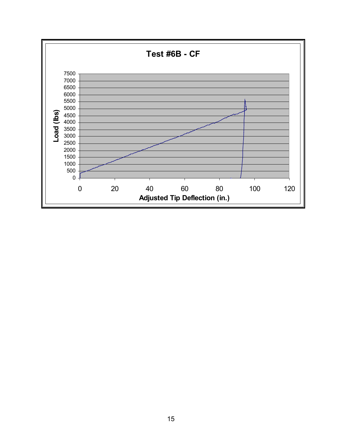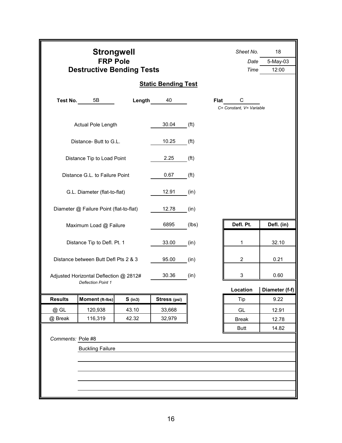|                   | <b>Strongwell</b><br><b>FRP Pole</b><br><b>Destructive Bending Tests</b> |           | Sheet No.<br>Date<br>Time  | 18<br>5-May-03<br>12:00 |                               |                |
|-------------------|--------------------------------------------------------------------------|-----------|----------------------------|-------------------------|-------------------------------|----------------|
|                   |                                                                          |           | <b>Static Bending Test</b> |                         |                               |                |
| Test No.          | 5B                                                                       | Length    | 40                         | Flat                    | C<br>C= Constant, V= Variable |                |
|                   | Actual Pole Length                                                       |           | 30.04                      | ( <b>ft</b> )           |                               |                |
|                   | Distance- Butt to G.L.                                                   |           | 10.25                      | ( <b>ft</b> )           |                               |                |
|                   | Distance Tip to Load Point                                               |           | 2.25                       | ( <b>ft</b> )           |                               |                |
|                   | Distance G.L. to Failure Point                                           |           | 0.67                       | ( <b>ft</b> )           |                               |                |
|                   | G.L. Diameter (flat-to-flat)                                             |           | 12.91                      | (in)                    |                               |                |
|                   | Diameter @ Failure Point (flat-to-flat)                                  |           | 12.78                      | (in)                    |                               |                |
|                   | Maximum Load @ Failure                                                   |           | 6895                       | (lbs)                   | Defl. Pt.                     | Defl. (in)     |
|                   | Distance Tip to Defl. Pt. 1                                              |           | 33.00                      | (in)                    | 1                             | 32.10          |
|                   | Distance between Butt Defl Pts 2 & 3                                     |           | 95.00                      | (in)                    | $\overline{c}$                | 0.21           |
|                   | Adjusted Horizontal Deflection @ 2812#<br><b>Deflection Point 1</b>      |           | 30.36                      | (in)                    | 3                             | 0.60           |
|                   |                                                                          |           |                            |                         | Location                      | Diameter (f-f) |
| <b>Results</b>    | Moment (ft-Ibs)                                                          | $S$ (in3) | Stress (psi)               |                         | Tip                           | 9.22           |
| @ GL              | 120,938                                                                  | 43.10     | 33,668                     |                         | GL                            | 12.91          |
| @ Break           | 116,319                                                                  | 42.32     | 32,979                     |                         | <b>Break</b>                  | 12.78          |
|                   |                                                                          |           |                            |                         | <b>Butt</b>                   | 14.82          |
| Comments: Pole #8 |                                                                          |           |                            |                         |                               |                |
|                   | <b>Buckling Failure</b>                                                  |           |                            |                         |                               |                |
|                   |                                                                          |           |                            |                         |                               |                |
|                   |                                                                          |           |                            |                         |                               |                |
|                   |                                                                          |           |                            |                         |                               |                |
|                   |                                                                          |           |                            |                         |                               |                |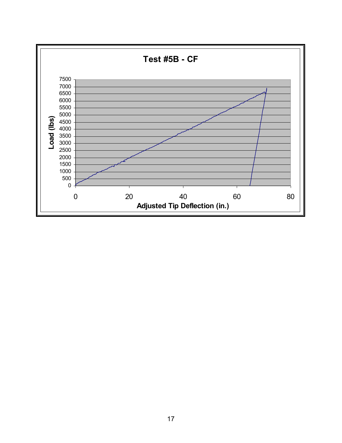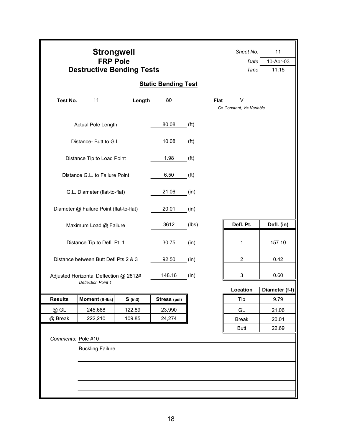|                              | <b>Strongwell</b><br><b>FRP Pole</b><br><b>Destructive Bending Tests</b> |           |                            |                   | Sheet No.<br>Date<br>Time     | 11<br>10-Apr-03<br>11:15 |
|------------------------------|--------------------------------------------------------------------------|-----------|----------------------------|-------------------|-------------------------------|--------------------------|
|                              |                                                                          |           | <b>Static Bending Test</b> |                   |                               |                          |
| Test No.                     | 11                                                                       | Length    | 80                         | <b>Flat</b>       | V<br>C= Constant, V= Variable |                          |
|                              | Actual Pole Length                                                       |           | 80.08                      | ( <b>ft</b> )     |                               |                          |
|                              | Distance- Butt to G.L.                                                   |           | 10.08                      | ( <b>ft</b> )     |                               |                          |
|                              | Distance Tip to Load Point                                               |           | 1.98                       | ( <b>ft</b> )     |                               |                          |
|                              | Distance G.L. to Failure Point                                           |           | 6.50                       | (f <sup>t</sup> ) |                               |                          |
|                              | G.L. Diameter (flat-to-flat)                                             |           | 21.06                      | (in)              |                               |                          |
|                              | Diameter @ Failure Point (flat-to-flat)                                  |           | 20.01                      | (in)              |                               |                          |
|                              | Maximum Load @ Failure                                                   |           | 3612                       | (lbs)             | Defl. Pt.                     | Defl. (in)               |
|                              | Distance Tip to Defl. Pt. 1                                              |           | 30.75                      | (in)              | 1                             | 157.10                   |
|                              | Distance between Butt Defl Pts 2 & 3                                     |           | 92.50                      | (in)              | $\overline{c}$                | 0.42                     |
|                              | Adjusted Horizontal Deflection @ 2812#<br><b>Deflection Point 1</b>      |           | 148.16                     | (in)              | 3                             | 0.60                     |
|                              |                                                                          |           |                            |                   | Location                      | Diameter (f-f)           |
| <b>Results</b>               | Moment (ft-lbs)                                                          | $S$ (in3) | Stress (psi)               |                   | Tip                           | 9.79                     |
| @ GL                         | 245,688                                                                  | 122.89    | 23,990                     |                   | GL                            | 21.06                    |
| 222,210<br>109.85<br>@ Break |                                                                          |           | 24,274                     |                   | <b>Break</b>                  | 20.01                    |
|                              |                                                                          |           |                            |                   | <b>Butt</b>                   | 22.69                    |
| Comments: Pole #10           |                                                                          |           |                            |                   |                               |                          |
|                              | <b>Buckling Failure</b>                                                  |           |                            |                   |                               |                          |
|                              |                                                                          |           |                            |                   |                               |                          |
|                              |                                                                          |           |                            |                   |                               |                          |
|                              |                                                                          |           |                            |                   |                               |                          |
|                              |                                                                          |           |                            |                   |                               |                          |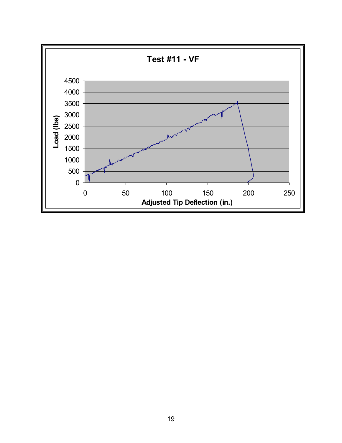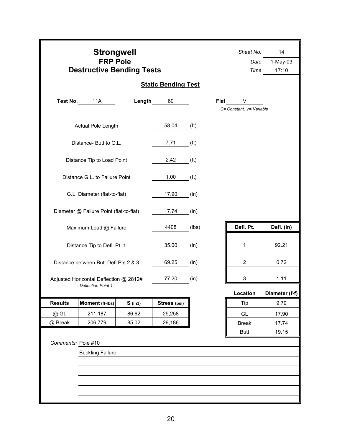|                             | <b>Strongwell</b><br><b>FRP Pole</b><br><b>Destructive Bending Tests</b> |           |                            |                   | Sheet No.<br>Date<br>Time     | 14<br>$1-May-03$<br>17:10 |  |
|-----------------------------|--------------------------------------------------------------------------|-----------|----------------------------|-------------------|-------------------------------|---------------------------|--|
|                             |                                                                          |           | <b>Static Bending Test</b> |                   |                               |                           |  |
| Test No.                    | 11A                                                                      | Length    | 60                         | <b>Flat</b>       | V<br>C= Constant, V= Variable |                           |  |
|                             | Actual Pole Length                                                       |           | 58.04                      | (f <sup>t</sup> ) |                               |                           |  |
|                             | Distance- Butt to G.L.                                                   |           | 7.71                       | (f <sup>t</sup> ) |                               |                           |  |
|                             | Distance Tip to Load Point                                               |           | 2.42                       | (f <sup>t</sup> ) |                               |                           |  |
|                             | Distance G.L. to Failure Point                                           |           | 1.00                       | (f <sup>t</sup> ) |                               |                           |  |
|                             | G.L. Diameter (flat-to-flat)                                             |           | 17.90                      | (in)              |                               |                           |  |
|                             | Diameter @ Failure Point (flat-to-flat)                                  |           | 17.74                      | (in)              |                               |                           |  |
|                             | Maximum Load @ Failure                                                   |           | 4408                       | (lbs)             | Defl. Pt.                     | Defl. (in)                |  |
|                             | Distance Tip to Defl. Pt. 1                                              |           | 35.00                      | (in)              | 1                             | 92.21                     |  |
|                             | Distance between Butt Defl Pts 2 & 3                                     |           | 69.25                      | (in)              | $\overline{2}$                | 0.72                      |  |
|                             | Adjusted Horizontal Deflection @ 2812#<br><b>Deflection Point 1</b>      |           | 77.20                      | (in)              | 3                             | 1.11                      |  |
|                             |                                                                          |           |                            |                   | Location                      | Diameter (f-f)            |  |
| <b>Results</b>              | Moment (ft-Ibs)                                                          | $S$ (in3) | Stress (psi)               |                   | Tip                           | 9.79                      |  |
| @ GL                        | 211,187                                                                  | 86.62     | 29,258                     |                   | GL                            | 17.90                     |  |
| 206,779<br>85.02<br>@ Break |                                                                          |           | 29,186                     |                   | <b>Break</b>                  | 17.74                     |  |
| Comments: Pole #10          |                                                                          |           |                            |                   | <b>Butt</b>                   | 19.15                     |  |
| <b>Buckling Failure</b>     |                                                                          |           |                            |                   |                               |                           |  |
|                             |                                                                          |           |                            |                   |                               |                           |  |
|                             |                                                                          |           |                            |                   |                               |                           |  |
|                             |                                                                          |           |                            |                   |                               |                           |  |
|                             |                                                                          |           |                            |                   |                               |                           |  |
|                             |                                                                          |           |                            |                   |                               |                           |  |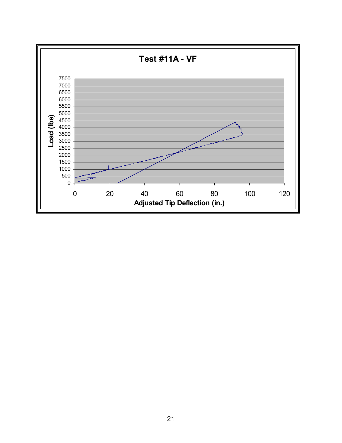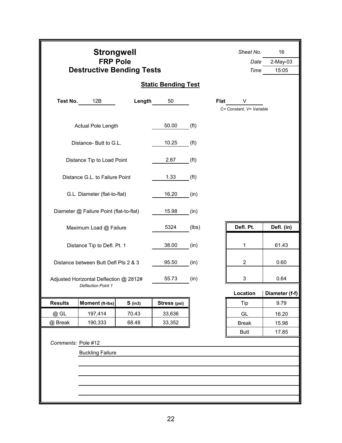|                             | <b>Strongwell</b><br><b>FRP Pole</b><br><b>Destructive Bending Tests</b> |           |                            |                   | Sheet No.<br>Date<br>Time     | 16<br>$2-May-03$<br>15:05 |
|-----------------------------|--------------------------------------------------------------------------|-----------|----------------------------|-------------------|-------------------------------|---------------------------|
|                             |                                                                          |           | <b>Static Bending Test</b> |                   |                               |                           |
| Test No.                    | 12B                                                                      | Length    | 50                         | Flat              | V<br>C= Constant, V= Variable |                           |
|                             | Actual Pole Length                                                       |           | 50.00                      | (f <sup>t</sup> ) |                               |                           |
|                             | Distance- Butt to G.L.                                                   |           | 10.25                      | (f <sup>t</sup> ) |                               |                           |
|                             | Distance Tip to Load Point                                               |           | 2.67                       | (f <sup>t</sup> ) |                               |                           |
|                             | Distance G.L. to Failure Point                                           |           | 1.33                       | (f <sup>t</sup> ) |                               |                           |
|                             | G.L. Diameter (flat-to-flat)                                             |           | 16.20                      | (in)              |                               |                           |
|                             | Diameter @ Failure Point (flat-to-flat)                                  |           | 15.98                      | (in)              |                               |                           |
|                             | Maximum Load @ Failure                                                   |           | 5324                       | (lbs)             | Defl. Pt.                     | Defl. (in)                |
|                             | Distance Tip to Defl. Pt. 1                                              |           | 38.00                      | (in)              | 1                             | 61.43                     |
|                             | Distance between Butt Defl Pts 2 & 3                                     |           | 95.50                      | (in)              | 2                             | 0.60                      |
|                             | Adjusted Horizontal Deflection @ 2812#<br><b>Deflection Point 1</b>      |           | 55.73                      | (in)              | 3                             | 0.64                      |
|                             |                                                                          |           |                            |                   | Location                      | Diameter (f-f)            |
| <b>Results</b>              | Moment (ft-Ibs)                                                          | $S$ (in3) | Stress (psi)               |                   | Tip                           | 9.79                      |
| @ GL                        | 197,414                                                                  | 70.43     | 33,636                     |                   | GL                            | 16.20                     |
| 190,333<br>@ Break<br>68.48 |                                                                          |           | 33,352                     |                   | <b>Break</b>                  | 15.98                     |
| Comments: Pole #12          |                                                                          |           |                            |                   | <b>Butt</b>                   | 17.85                     |
|                             | <b>Buckling Failure</b>                                                  |           |                            |                   |                               |                           |
|                             |                                                                          |           |                            |                   |                               |                           |
|                             |                                                                          |           |                            |                   |                               |                           |
|                             |                                                                          |           |                            |                   |                               |                           |
|                             |                                                                          |           |                            |                   |                               |                           |
|                             |                                                                          |           |                            |                   |                               |                           |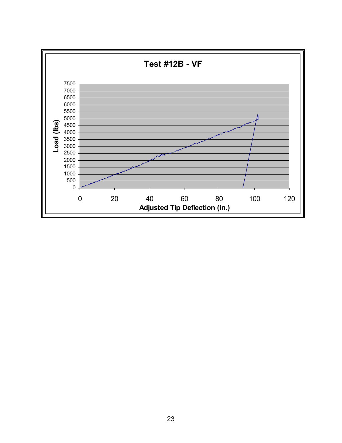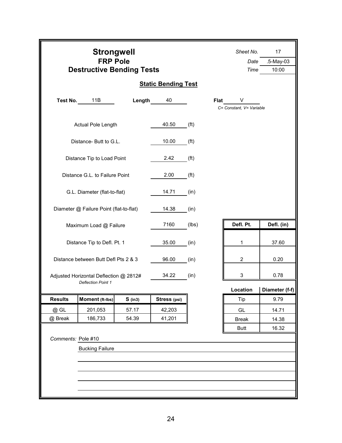|                      | <b>Strongwell</b><br><b>FRP Pole</b><br><b>Destructive Bending Tests</b> |           |                            |                   | Sheet No.<br>Date<br>Time     | 17<br>.5-May-03<br>10:00 |  |
|----------------------|--------------------------------------------------------------------------|-----------|----------------------------|-------------------|-------------------------------|--------------------------|--|
|                      |                                                                          |           | <b>Static Bending Test</b> |                   |                               |                          |  |
| Test No.             | 11B                                                                      | Length    | 40                         | Flat              | V<br>C= Constant, V= Variable |                          |  |
|                      | Actual Pole Length                                                       |           | 40.50                      | (f <sup>t</sup> ) |                               |                          |  |
|                      | Distance- Butt to G.L.                                                   |           | 10.00                      | (f <sup>t</sup> ) |                               |                          |  |
|                      | Distance Tip to Load Point                                               |           | 2.42                       | (f <sup>t</sup> ) |                               |                          |  |
|                      | Distance G.L. to Failure Point                                           |           | 2.00                       | (f <sup>t</sup> ) |                               |                          |  |
|                      | G.L. Diameter (flat-to-flat)                                             |           | 14.71                      | (in)              |                               |                          |  |
|                      | Diameter @ Failure Point (flat-to-flat)                                  |           | 14.38                      | (in)              |                               |                          |  |
|                      | Maximum Load @ Failure                                                   |           | 7160                       | (lbs)             | Defl. Pt.                     | Defl. (in)               |  |
|                      | Distance Tip to Defl. Pt. 1                                              |           | 35.00                      | (in)              | 1                             | 37.60                    |  |
|                      | Distance between Butt Defl Pts 2 & 3                                     |           | 96.00                      | (in)              | $\overline{2}$                | 0.20                     |  |
|                      | Adjusted Horizontal Deflection @ 2812#<br><b>Deflection Point 1</b>      |           | 34.22                      | (in)              | 3                             | 0.78                     |  |
|                      |                                                                          |           |                            |                   | Location                      | Diameter (f-f)           |  |
| <b>Results</b>       | Moment (ft-lbs)                                                          | $S$ (in3) | Stress (psi)               |                   | Tip                           | 9.79                     |  |
| @ GL                 | 201,053                                                                  | 57.17     | 42,203                     |                   | GL                            | 14.71                    |  |
| @ Break              | 186,733                                                                  | 54.39     | 41,201                     |                   | <b>Break</b>                  | 14.38                    |  |
| 16.32<br><b>Butt</b> |                                                                          |           |                            |                   |                               |                          |  |
| Comments: Pole #10   |                                                                          |           |                            |                   |                               |                          |  |
|                      | <b>Bucking Failure</b>                                                   |           |                            |                   |                               |                          |  |
|                      |                                                                          |           |                            |                   |                               |                          |  |
|                      |                                                                          |           |                            |                   |                               |                          |  |
|                      |                                                                          |           |                            |                   |                               |                          |  |
|                      |                                                                          |           |                            |                   |                               |                          |  |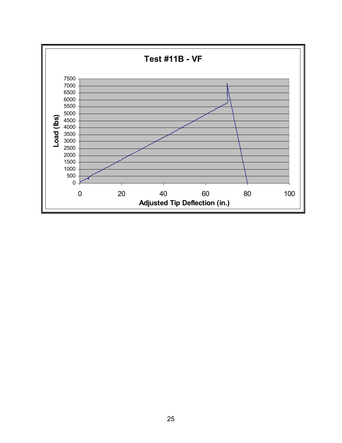